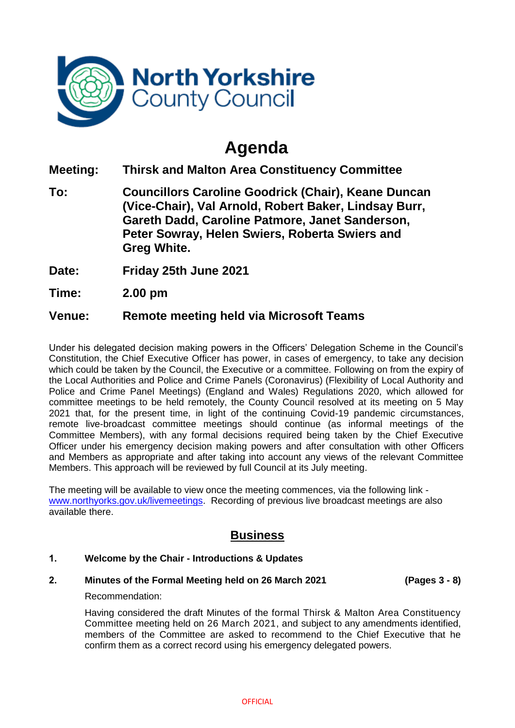

# **Agenda**

**Meeting: Thirsk and Malton Area Constituency Committee**

**To: Councillors Caroline Goodrick (Chair), Keane Duncan (Vice-Chair), Val Arnold, Robert Baker, Lindsay Burr, Gareth Dadd, Caroline Patmore, Janet Sanderson, Peter Sowray, Helen Swiers, Roberta Swiers and Greg White.**

**Date: Friday 25th June 2021**

**Time: 2.00 pm**

## **Venue: Remote meeting held via Microsoft Teams**

Under his delegated decision making powers in the Officers' Delegation Scheme in the Council's Constitution, the Chief Executive Officer has power, in cases of emergency, to take any decision which could be taken by the Council, the Executive or a committee. Following on from the expiry of the Local Authorities and Police and Crime Panels (Coronavirus) (Flexibility of Local Authority and Police and Crime Panel Meetings) (England and Wales) Regulations 2020, which allowed for committee meetings to be held remotely, the County Council resolved at its meeting on 5 May 2021 that, for the present time, in light of the continuing Covid-19 pandemic circumstances, remote live-broadcast committee meetings should continue (as informal meetings of the Committee Members), with any formal decisions required being taken by the Chief Executive Officer under his emergency decision making powers and after consultation with other Officers and Members as appropriate and after taking into account any views of the relevant Committee Members. This approach will be reviewed by full Council at its July meeting.

The meeting will be available to view once the meeting commences, via the following link [www.northyorks.gov.uk/livemeetings.](http://www.northyorks.gov.uk/livemeetings) Recording of previous live broadcast meetings are also available there.

# **Business**

### **1. Welcome by the Chair - Introductions & Updates**

#### **2. Minutes of the Formal Meeting held on 26 March 2021 (Pages 3 - 8)**

### Recommendation:

Having considered the draft Minutes of the formal Thirsk & Malton Area Constituency Committee meeting held on 26 March 2021, and subject to any amendments identified, members of the Committee are asked to recommend to the Chief Executive that he confirm them as a correct record using his emergency delegated powers.